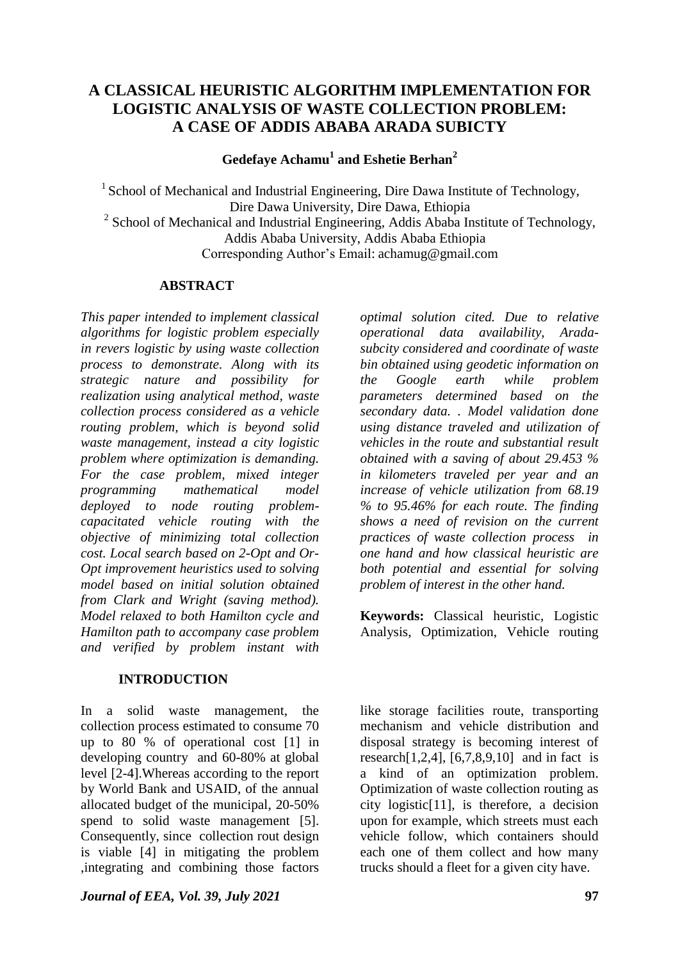# **A CLASSICAL HEURISTIC ALGORITHM IMPLEMENTATION FOR LOGISTIC ANALYSIS OF WASTE COLLECTION PROBLEM: A CASE OF ADDIS ABABA ARADA SUBICTY**

**Gedefaye Achamu<sup>1</sup> and Eshetie Berhan<sup>2</sup>**

 $1$  School of Mechanical and Industrial Engineering, Dire Dawa Institute of Technology, Dire Dawa University, Dire Dawa, Ethiopia  $2$  School of Mechanical and Industrial Engineering, Addis Ababa Institute of Technology, Addis Ababa University, Addis Ababa Ethiopia Corresponding Author's Email: achamug@gmail.com

### **ABSTRACT**

*This paper intended to implement classical algorithms for logistic problem especially in revers logistic by using waste collection process to demonstrate. Along with its strategic nature and possibility for realization using analytical method, waste collection process considered as a vehicle routing problem, which is beyond solid waste management, instead a city logistic problem where optimization is demanding. For the case problem, mixed integer programming mathematical model deployed to node routing problemcapacitated vehicle routing with the objective of minimizing total collection cost. Local search based on 2-Opt and Or-Opt improvement heuristics used to solving model based on initial solution obtained from Clark and Wright (saving method). Model relaxed to both Hamilton cycle and Hamilton path to accompany case problem and verified by problem instant with* 

### **INTRODUCTION**

In a solid waste management, the collection process estimated to consume 70 up to 80 % of operational cost [1] in developing country and 60-80% at global level [2-4].Whereas according to the report by World Bank and USAID, of the annual allocated budget of the municipal, 20-50% spend to solid waste management [5]. Consequently, since collection rout design is viable [4] in mitigating the problem ,integrating and combining those factors

*Journal of EEA, Vol. 39, July 2021* **97** 

*optimal solution cited. Due to relative operational data availability, Aradasubcity considered and coordinate of waste bin obtained using geodetic information on the Google earth while problem parameters determined based on the secondary data. . Model validation done using distance traveled and utilization of vehicles in the route and substantial result obtained with a saving of about 29.453 % in kilometers traveled per year and an increase of vehicle utilization from 68.19 % to 95.46% for each route. The finding shows a need of revision on the current practices of waste collection process in one hand and how classical heuristic are both potential and essential for solving problem of interest in the other hand.* 

**Keywords:** Classical heuristic, Logistic Analysis, Optimization, Vehicle routing

like storage facilities route, transporting mechanism and vehicle distribution and disposal strategy is becoming interest of research $[1,2,4]$ ,  $[6,7,8,9,10]$  and in fact is a kind of an optimization problem. Optimization of waste collection routing as city logistic[11], is therefore, a decision upon for example, which streets must each vehicle follow, which containers should each one of them collect and how many trucks should a fleet for a given city have.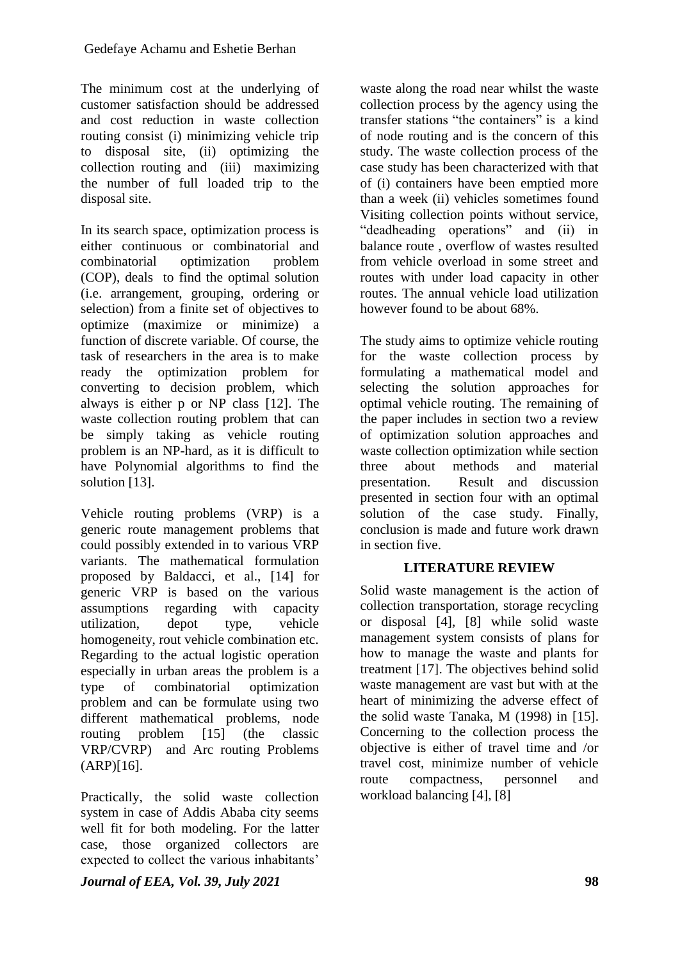The minimum cost at the underlying of customer satisfaction should be addressed and cost reduction in waste collection routing consist (i) minimizing vehicle trip to disposal site, (ii) optimizing the collection routing and (iii) maximizing the number of full loaded trip to the disposal site.

In its search space, optimization process is either continuous or combinatorial and combinatorial optimization problem (COP), deals to find the optimal solution (i.e. arrangement, grouping, ordering or selection) from a finite set of objectives to optimize (maximize or minimize) a function of discrete variable. Of course, the task of researchers in the area is to make ready the optimization problem for converting to decision problem, which always is either p or NP class [12]. The waste collection routing problem that can be simply taking as vehicle routing problem is an NP-hard, as it is difficult to have Polynomial algorithms to find the solution [13].

Vehicle routing problems (VRP) is a generic route management problems that could possibly extended in to various VRP variants. The mathematical formulation proposed by Baldacci, et al., [14] for generic VRP is based on the various assumptions regarding with capacity utilization, depot type, vehicle homogeneity, rout vehicle combination etc. Regarding to the actual logistic operation especially in urban areas the problem is a type of combinatorial optimization problem and can be formulate using two different mathematical problems, node routing problem [15] (the classic VRP/CVRP) and Arc routing Problems (ARP)[16].

Practically, the solid waste collection system in case of Addis Ababa city seems well fit for both modeling. For the latter case, those organized collectors are expected to collect the various inhabitants'

waste along the road near whilst the waste collection process by the agency using the transfer stations "the containers" is a kind of node routing and is the concern of this study. The waste collection process of the case study has been characterized with that of (i) containers have been emptied more than a week (ii) vehicles sometimes found Visiting collection points without service, "deadheading operations" and (ii) in balance route , overflow of wastes resulted from vehicle overload in some street and routes with under load capacity in other routes. The annual vehicle load utilization however found to be about 68%.

The study aims to optimize vehicle routing for the waste collection process by formulating a mathematical model and selecting the solution approaches for optimal vehicle routing. The remaining of the paper includes in section two a review of optimization solution approaches and waste collection optimization while section three about methods and material presentation. Result and discussion presented in section four with an optimal solution of the case study. Finally, conclusion is made and future work drawn in section five.

## **LITERATURE REVIEW**

Solid waste management is the action of collection transportation, storage recycling or disposal [4], [8] while solid waste management system consists of plans for how to manage the waste and plants for treatment [17]. The objectives behind solid waste management are vast but with at the heart of minimizing the adverse effect of the solid waste Tanaka, M (1998) in [15]. Concerning to the collection process the objective is either of travel time and /or travel cost, minimize number of vehicle route compactness, personnel and workload balancing [4], [8]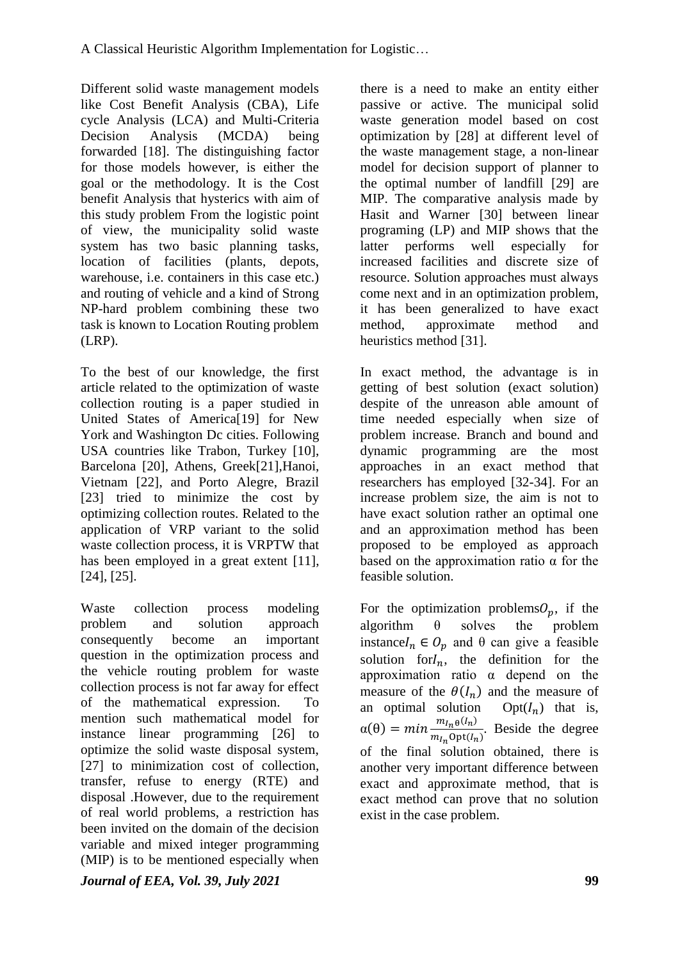Different solid waste management models like Cost Benefit Analysis (CBA), Life cycle Analysis (LCA) and Multi-Criteria Decision Analysis (MCDA) being forwarded [18]. The distinguishing factor for those models however, is either the goal or the methodology. It is the Cost benefit Analysis that hysterics with aim of this study problem From the logistic point of view, the municipality solid waste system has two basic planning tasks, location of facilities (plants, depots, warehouse, i.e. containers in this case etc.) and routing of vehicle and a kind of Strong NP-hard problem combining these two task is known to Location Routing problem (LRP).

To the best of our knowledge, the first article related to the optimization of waste collection routing is a paper studied in United States of America[19] for New York and Washington Dc cities. Following USA countries like Trabon, Turkey [10], Barcelona [20], Athens, Greek[21],Hanoi, Vietnam [22], and Porto Alegre, Brazil [23] tried to minimize the cost by optimizing collection routes. Related to the application of VRP variant to the solid waste collection process, it is VRPTW that has been employed in a great extent [11], [24], [25].

Waste collection process modeling problem and solution approach consequently become an important question in the optimization process and the vehicle routing problem for waste collection process is not far away for effect of the mathematical expression. To mention such mathematical model for instance linear programming [26] to optimize the solid waste disposal system, [27] to minimization cost of collection, transfer, refuse to energy (RTE) and disposal .However, due to the requirement of real world problems, a restriction has been invited on the domain of the decision variable and mixed integer programming (MIP) is to be mentioned especially when

there is a need to make an entity either passive or active. The municipal solid waste generation model based on cost optimization by [28] at different level of the waste management stage, a non-linear model for decision support of planner to the optimal number of landfill [29] are MIP. The comparative analysis made by Hasit and Warner [30] between linear programing (LP) and MIP shows that the latter performs well especially for increased facilities and discrete size of resource. Solution approaches must always come next and in an optimization problem, it has been generalized to have exact method, approximate method and heuristics method [31].

In exact method, the advantage is in getting of best solution (exact solution) despite of the unreason able amount of time needed especially when size of problem increase. Branch and bound and dynamic programming are the most approaches in an exact method that researchers has employed [32-34]. For an increase problem size, the aim is not to have exact solution rather an optimal one and an approximation method has been proposed to be employed as approach based on the approximation ratio  $\alpha$  for the feasible solution.

For the optimization problems  $O_p$ , if the algorithm  $\theta$  solves the problem instance  $I_n \in O_n$  and  $\theta$  can give a feasible solution for $I_n$ , the definition for the approximation ratio α depend on the measure of the  $\theta(I_n)$  and the measure of an optimal solution  $Opt(I_n)$  that is,  $\alpha(\theta) = min \frac{m_{I_n\theta}(I_n)}{m_{I_n\theta}(I_n)}$  $\frac{m_{ln} \theta \vee n}{m_{ln} \theta p t(l_n)}$ . Beside the degree of the final solution obtained, there is another very important difference between exact and approximate method, that is exact method can prove that no solution exist in the case problem.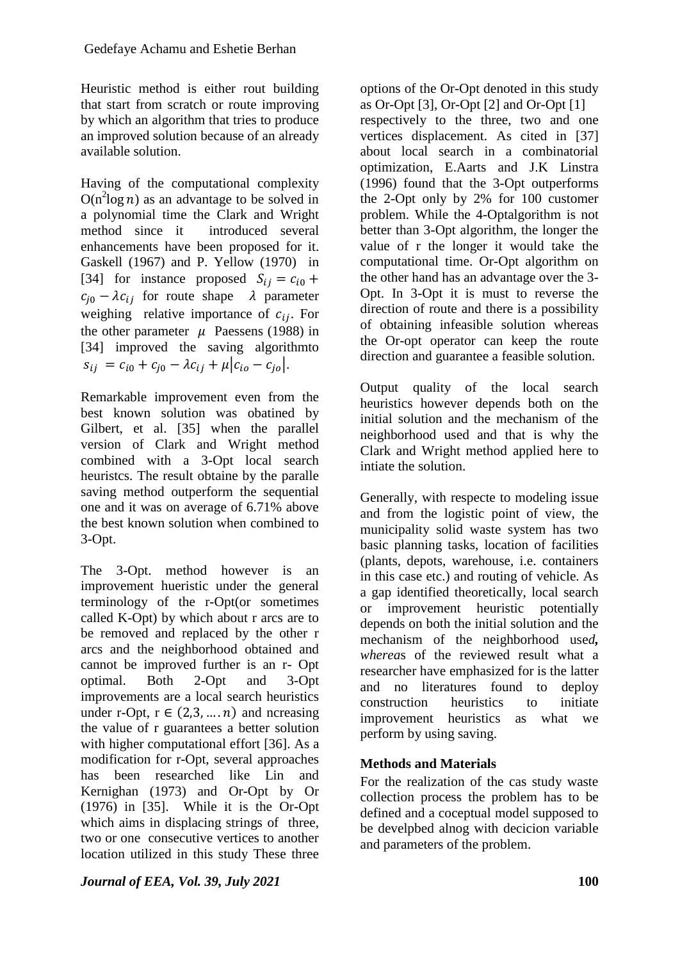Heuristic method is either rout building that start from scratch or route improving by which an algorithm that tries to produce an improved solution because of an already available solution.

Having of the computational complexity  $O(n^2 \log n)$  as an advantage to be solved in a polynomial time the Clark and Wright method since it introduced several enhancements have been proposed for it. Gaskell (1967) and P. Yellow (1970) in [34] for instance proposed  $S_{ij} = c_{i0} +$  $c_{i0} - \lambda c_{i,j}$  for route shape  $\lambda$  parameter weighing relative importance of  $c_{ij}$ . For the other parameter  $\mu$  Paessens (1988) in [34] improved the saving algorithmto  $s_{ij} = c_{i0} + c_{j0} - \lambda c_{ij} + \mu |c_{io} - c_{jo}|.$ 

Remarkable improvement even from the best known solution was obatined by Gilbert, et al. [35] when the parallel version of Clark and Wright method combined with a 3-Opt local search heuristcs. The result obtaine by the paralle saving method outperform the sequential one and it was on average of 6.71% above the best known solution when combined to 3-Opt.

The 3-Opt. method however is an improvement hueristic under the general terminology of the r-Opt(or sometimes called K-Opt) by which about r arcs are to be removed and replaced by the other r arcs and the neighborhood obtained and cannot be improved further is an r- Opt optimal. Both 2-Opt and 3-Opt improvements are a local search heuristics under r-Opt,  $r \in (2,3,...,n)$  and ncreasing the value of r guarantees a better solution with higher computational effort [36]. As a modification for r-Opt, several approaches has been researched like Lin and Kernighan (1973) and Or-Opt by Or (1976) in [35]. While it is the Or-Opt which aims in displacing strings of three, two or one consecutive vertices to another location utilized in this study These three

options of the Or-Opt denoted in this study as Or-Opt [3], Or-Opt [2] and Or-Opt [1] respectively to the three, two and one vertices displacement. As cited in [37] about local search in a combinatorial optimization, E.Aarts and J.K Linstra (1996) found that the 3-Opt outperforms the 2-Opt only by 2% for 100 customer problem. While the 4-Optalgorithm is not better than 3-Opt algorithm, the longer the value of r the longer it would take the computational time. Or-Opt algorithm on the other hand has an advantage over the 3- Opt. In 3-Opt it is must to reverse the direction of route and there is a possibility of obtaining infeasible solution whereas the Or-opt operator can keep the route direction and guarantee a feasible solution.

Output quality of the local search heuristics however depends both on the initial solution and the mechanism of the neighborhood used and that is why the Clark and Wright method applied here to intiate the solution.

Generally, with respecte to modeling issue and from the logistic point of view, the municipality solid waste system has two basic planning tasks, location of facilities (plants, depots, warehouse, i.e. containers in this case etc.) and routing of vehicle. As a gap identified theoretically, local search or improvement heuristic potentially depends on both the initial solution and the mechanism of the neighborhood use*d, wherea*s of the reviewed result what a researcher have emphasized for is the latter and no literatures found to deploy construction heuristics to initiate improvement heuristics as what we perform by using saving.

# **Methods and Materials**

For the realization of the cas study waste collection process the problem has to be defined and a coceptual model supposed to be develpbed alnog with decicion variable and parameters of the problem.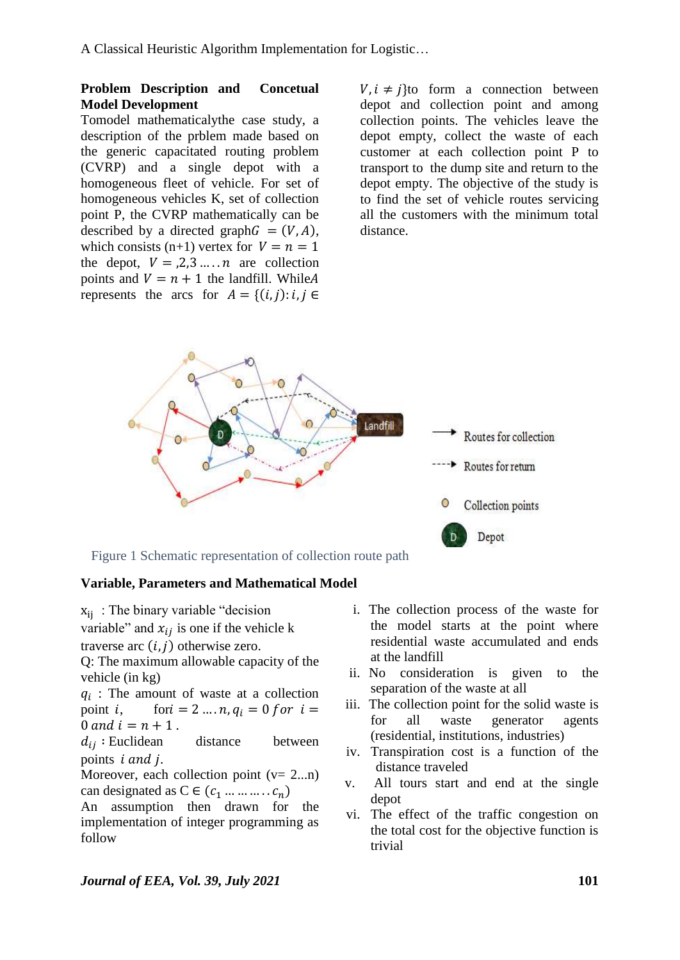## **Problem Description and Concetual Model Development**

Tomodel mathematicalythe case study, a description of the prblem made based on the generic capacitated routing problem (CVRP) and a single depot with a homogeneous fleet of vehicle. For set of homogeneous vehicles K, set of collection point P, the CVRP mathematically can be described by a directed graph  $G = (V, A)$ , which consists (n+1) vertex for  $V = n = 1$ the depot,  $V = 0.2, 3, \dots, n$  are collection points and  $V = n + 1$  the landfill. While A represents the arcs for  $A = \{(i, j): i, j \in$ 

 $V, i \neq j$  to form a connection between depot and collection point and among collection points. The vehicles leave the depot empty, collect the waste of each customer at each collection point P to transport to the dump site and return to the depot empty. The objective of the study is to find the set of vehicle routes servicing all the customers with the minimum total distance.



## **Variable, Parameters and Mathematical Model**

- $x_{ij}$ : The binary variable "decision"
- variable" and  $x_{ij}$  is one if the vehicle k
- traverse arc  $(i, j)$  otherwise zero.

Q: The maximum allowable capacity of the vehicle (in kg)

 $q_i$ : The amount of waste at a collection point *i*, for  $i = 2...n$ ,  $q_i = 0$  for  $i =$ 0 and  $i = n + 1$ .

 $d_{ij}$ : Euclidean distance between points *i* and *j*.

Moreover, each collection point  $(v= 2...n)$ can designated as  $C \in (c_1 \dots \dots \dots c_n)$ 

An assumption then drawn for the implementation of integer programming as follow

- i. The collection process of the waste for the model starts at the point where residential waste accumulated and ends at the landfill
- ii. No consideration is given to the separation of the waste at all
- iii. The collection point for the solid waste is for all waste generator agents (residential, institutions, industries)
- iv. Transpiration cost is a function of the distance traveled
- v. All tours start and end at the single depot
- vi. The effect of the traffic congestion on the total cost for the objective function is trivial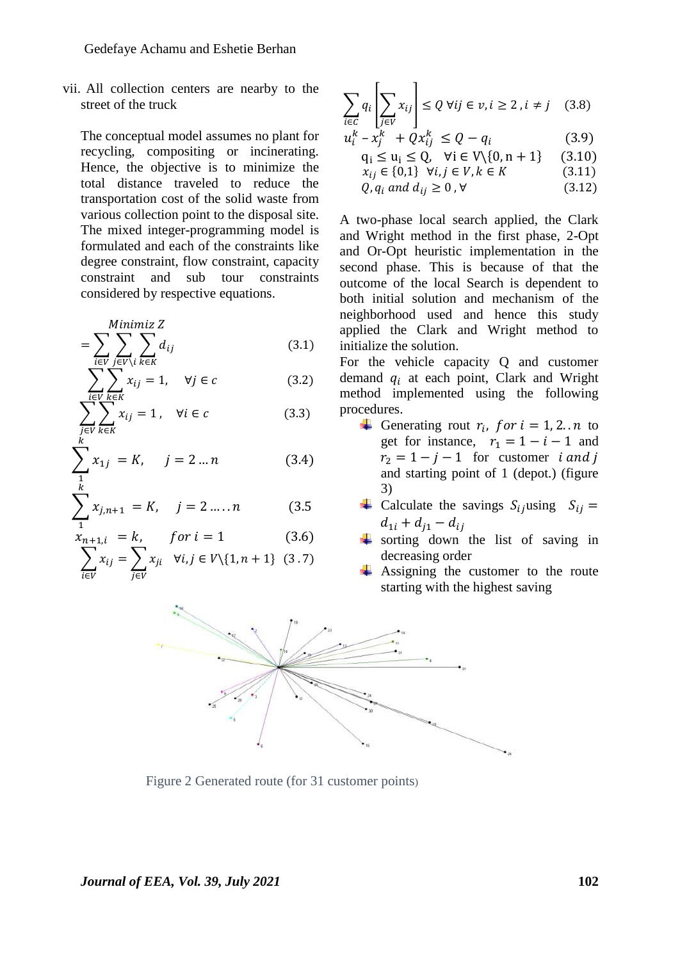vii. All collection centers are nearby to the street of the truck

The conceptual model assumes no plant for recycling, compositing or incinerating. Hence, the objective is to minimize the total distance traveled to reduce the transportation cost of the solid waste from various collection point to the disposal site. The mixed integer-programming model is formulated and each of the constraints like degree constraint, flow constraint, capacity constraint and sub tour constraints considered by respective equations.

$$
= \sum_{i \in V} \sum_{j \in V \backslash i} \sum_{k \in K} d_{ij} \tag{3.1}
$$

$$
\sum_{i \in V} \sum_{k \in K} x_{ij} = 1, \quad \forall j \in c \tag{3.2}
$$

$$
\sum_{\substack{j \in V \\ k}} \sum_{k \in K} x_{ij} = 1, \quad \forall i \in c \tag{3.3}
$$

$$
\sum_{\substack{1\\k}} x_{1j} = K, \quad j = 2 \dots n \tag{3.4}
$$

$$
\sum_{1}^{n} x_{j,n+1} = K, \quad j = 2 \dots n \tag{3.5}
$$

$$
x_{n+1,i} = k, \qquad \text{for } i = 1 \tag{3.6}
$$

$$
\sum_{i \in V} x_{ij} = \sum_{j \in V} x_{ji} \quad \forall i, j \in V \setminus \{1, n+1\} \quad (3.7)
$$

$$
\sum_{i \in C} q_i \left[ \sum_{j \in V} x_{ij} \right] \le Q \ \forall ij \in v, i \ge 2, i \ne j \quad (3.8)
$$

$$
u_i^k - x_j^k + Qx_{ij}^k \le Q - q_i \tag{3.9}
$$

$$
q_i \le u_i \le Q, \quad \forall i \in V \setminus \{0, n+1\} \tag{3.10}
$$

$$
x_{ij} \in \{0,1\} \quad \forall i,j \in V, k \in K \tag{3.11}
$$

$$
Q, q_i \text{ and } d_{ij} \ge 0, \forall \tag{3.12}
$$

A two-phase local search applied, the Clark and Wright method in the first phase, 2-Opt and Or-Opt heuristic implementation in the second phase. This is because of that the outcome of the local Search is dependent to both initial solution and mechanism of the neighborhood used and hence this study applied the Clark and Wright method to initialize the solution.

For the vehicle capacity Q and customer demand  $q_i$  at each point, Clark and Wright method implemented using the following procedures.

- Generating rout  $r_i$ , for  $i = 1, 2...n$  to get for instance,  $r_1 = 1 - i - 1$  and  $r_2 = 1 - j - 1$  for customer *i and j* and starting point of 1 (depot.) (figure 3)
- **↓** Calculate the savings  $S_{ij}$ using  $S_{ij}$  =  $d_{1i} + d_{j1} - d_{ij}$
- sorting down the list of saving in decreasing order
- $\overline{\phantom{a}}$  Assigning the customer to the route starting with the highest saving



Figure 2 Generated route (for 31 customer points)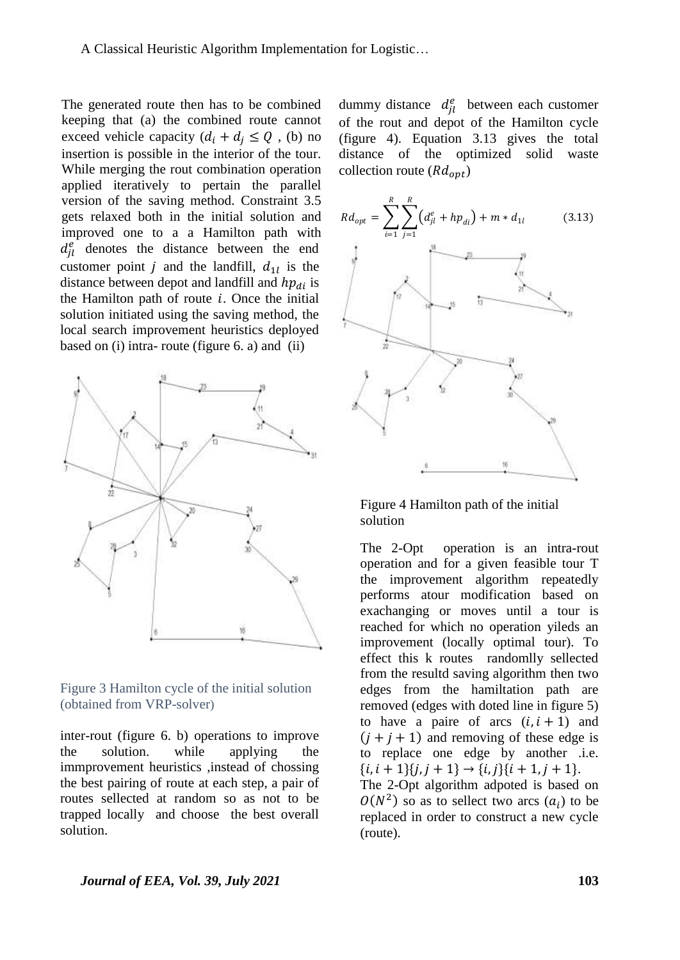The generated route then has to be combined keeping that (a) the combined route cannot exceed vehicle capacity  $(d_i + d_j \leq Q)$ , (b) no insertion is possible in the interior of the tour. While merging the rout combination operation applied iteratively to pertain the parallel version of the saving method. Constraint 3.5 gets relaxed both in the initial solution and improved one to a a Hamilton path with  $d_{il}^{e}$  denotes the distance between the end customer point *j* and the landfill,  $d_{1l}$  is the distance between depot and landfill and  $hp_{di}$  is the Hamilton path of route  $i$ . Once the initial solution initiated using the saving method, the local search improvement heuristics deployed based on (i) intra- route (figure 6. a) and (ii)





inter-rout (figure 6. b) operations to improve the solution. while applying the immprovement heuristics ,instead of chossing the best pairing of route at each step, a pair of routes sellected at random so as not to be trapped locally and choose the best overall solution.

dummy distance  $d_{il}^e$  between each customer of the rout and depot of the Hamilton cycle (figure 4). Equation 3.13 gives the total distance of the optimized solid waste collection route  $(Rd_{opt})$ 





The 2-Opt operation is an intra-rout operation and for a given feasible tour T the improvement algorithm repeatedly performs atour modification based on exachanging or moves until a tour is reached for which no operation yileds an improvement (locally optimal tour). To effect this k routes randomlly sellected from the resultd saving algorithm then two edges from the hamiltation path are removed (edges with doted line in figure 5) to have a paire of arcs  $(i, i + 1)$  and  $(i + i + 1)$  and removing of these edge is to replace one edge by another .i.e.  ${i, i + 1}{j, j + 1} \rightarrow {i, j}{i + 1, j + 1}.$ The 2-Opt algorithm adpoted is based on  $O(N^2)$  so as to sellect two arcs  $(a_i)$  to be replaced in order to construct a new cycle (route).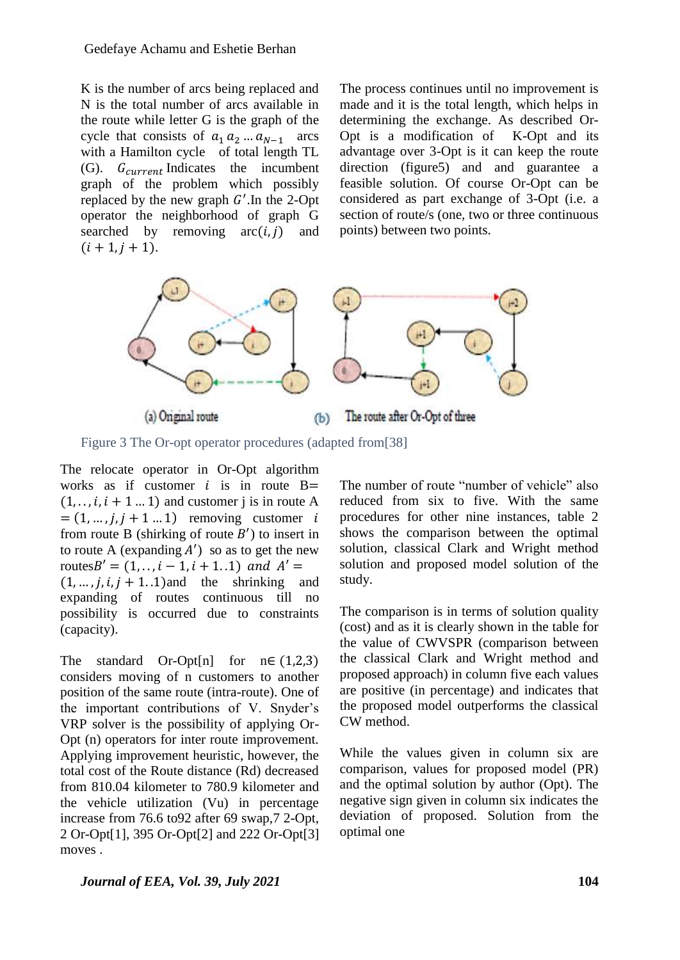K is the number of arcs being replaced and N is the total number of arcs available in the route while letter G is the graph of the cycle that consists of  $a_1 a_2 ... a_{N-1}$  arcs with a Hamilton cycle of total length TL (G).  $G_{current}$  Indicates the incumbent graph of the problem which possibly replaced by the new graph  $G'$ . In the 2-Opt operator the neighborhood of graph G searched by removing  $arc(i, i)$  and  $(i + 1, j + 1).$ 

The process continues until no improvement is made and it is the total length, which helps in determining the exchange. As described Or-Opt is a modification of K-Opt and its advantage over 3-Opt is it can keep the route direction (figure5) and and guarantee a feasible solution. Of course Or-Opt can be considered as part exchange of 3-Opt (i.e. a section of route/s (one, two or three continuous points) between two points.



Figure 3 The Or-opt operator procedures (adapted from[38]

The relocate operator in Or-Opt algorithm works as if customer  $i$  is in route B=  $(1, \ldots, i, i + 1, \ldots, 1)$  and customer j is in route A  $=(1, ..., j, j+1...1)$  removing customer i from route B (shirking of route  $B'$ ) to insert in to route A (expanding  $A'$ ) so as to get the new routes  $B' = (1, \ldots, i - 1, i + 1, 1)$  and  $A' =$  $(1, \ldots, i, i, j + 1, 1)$  and the shrinking and expanding of routes continuous till no possibility is occurred due to constraints (capacity).

The standard Or-Opt[n] for  $n \in (1,2,3)$ considers moving of n customers to another position of the same route (intra-route). One of the important contributions of V. Snyder's VRP solver is the possibility of applying Or-Opt (n) operators for inter route improvement. Applying improvement heuristic, however, the total cost of the Route distance (Rd) decreased from 810.04 kilometer to 780.9 kilometer and the vehicle utilization (Vu) in percentage increase from 76.6 to92 after 69 swap,7 2-Opt, 2 Or-Opt[1], 395 Or-Opt[2] and 222 Or-Opt[3] moves .

The number of route "number of vehicle" also reduced from six to five. With the same procedures for other nine instances, table 2 shows the comparison between the optimal solution, classical Clark and Wright method solution and proposed model solution of the study.

The comparison is in terms of solution quality (cost) and as it is clearly shown in the table for the value of CWVSPR (comparison between the classical Clark and Wright method and proposed approach) in column five each values are positive (in percentage) and indicates that the proposed model outperforms the classical CW method.

While the values given in column six are comparison, values for proposed model (PR) and the optimal solution by author (Opt). The negative sign given in column six indicates the deviation of proposed. Solution from the optimal one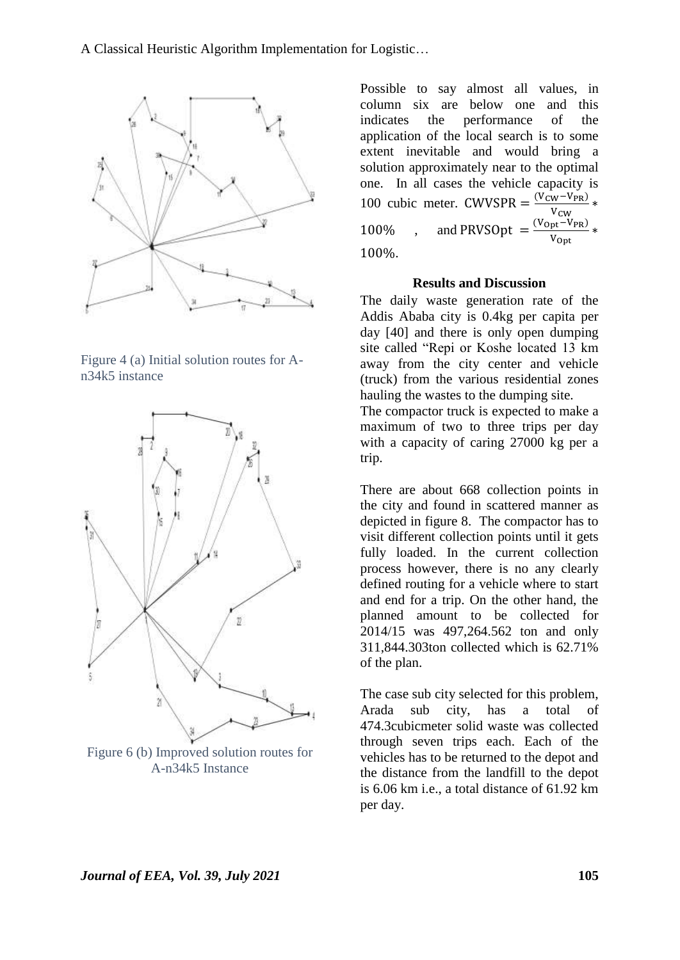

Figure 4 (a) Initial solution routes for An34k5 instance



Figure 6 (b) Improved solution routes for A-n34k5 Instance

Possible to say almost all values, in column six are below one and this indicates the performance of the application of the local search is to some extent inevitable and would bring a solution approximately near to the optimal one. In all cases the vehicle capacity is 100 cubic meter. CWVSPR =  $\frac{(V_{\text{CW}} - V_{\text{PR}})}{V}$  \* V 100%, and PRVSOpt =  $\frac{(V_{\text{Opt}} - V_{\text{PR}})}{V}$  $\frac{p t VPR}{V_{\text{Opt}}}$ 100%.

#### **Results and Discussion**

The daily waste generation rate of the Addis Ababa city is 0.4kg per capita per day [40] and there is only open dumping site called "Repi or Koshe located 13 km away from the city center and vehicle (truck) from the various residential zones hauling the wastes to the dumping site.

The compactor truck is expected to make a maximum of two to three trips per day with a capacity of caring 27000 kg per a trip.

There are about 668 collection points in the city and found in scattered manner as depicted in figure 8. The compactor has to visit different collection points until it gets fully loaded. In the current collection process however, there is no any clearly defined routing for a vehicle where to start and end for a trip. On the other hand, the planned amount to be collected for 2014/15 was 497,264.562 ton and only 311,844.303ton collected which is 62.71% of the plan.

The case sub city selected for this problem, Arada sub city, has a total of 474.3cubicmeter solid waste was collected through seven trips each. Each of the vehicles has to be returned to the depot and the distance from the landfill to the depot is 6.06 km i.e., a total distance of 61.92 km per day.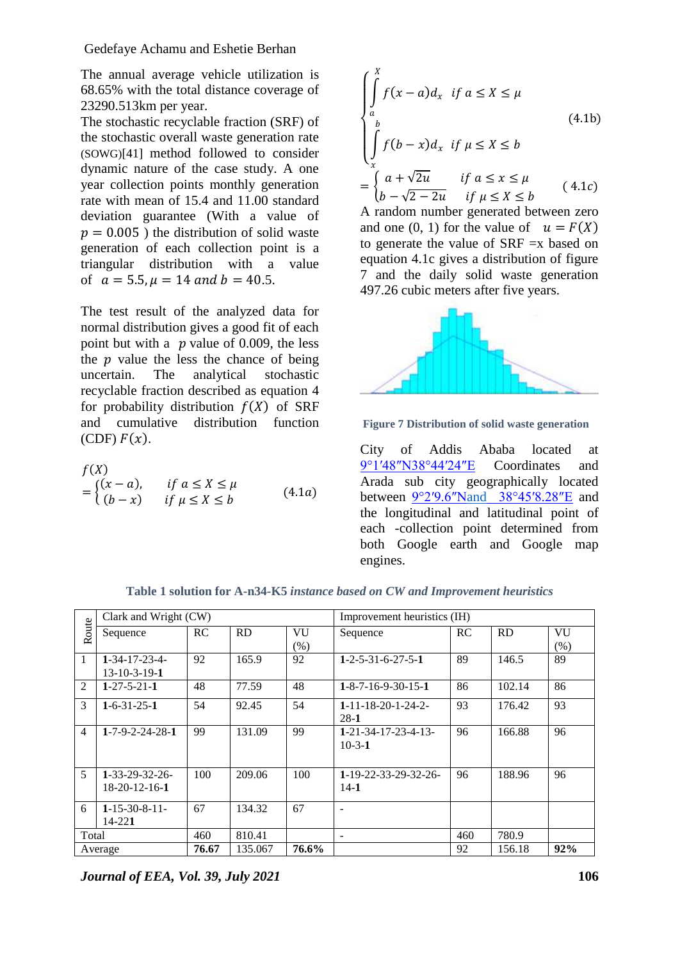Gedefaye Achamu and Eshetie Berhan

The annual average vehicle utilization is 68.65% with the total distance coverage of 23290.513km per year.

The stochastic recyclable fraction (SRF) of the stochastic overall waste generation rate (SOWG)[41] method followed to consider dynamic nature of the case study. A one year collection points monthly generation rate with mean of 15.4 and 11.00 standard deviation guarantee (With a value of  $p = 0.005$ ) the distribution of solid waste generation of each collection point is a triangular distribution with a value of  $a = 5.5$ ,  $\mu = 14$  and  $b = 40.5$ .

The test result of the analyzed data for normal distribution gives a good fit of each point but with a  $p$  value of 0.009, the less the  $\nu$  value the less the chance of being uncertain. The analytical stochastic recyclable fraction described as equation 4 for probability distribution  $f(X)$  of SRF and cumulative distribution function (CDF)  $F(x)$ .

$$
f(X)
$$
  
= 
$$
\begin{cases} (x-a), & \text{if } a \le X \le \mu \\ (b-x) & \text{if } \mu \le X \le b \end{cases}
$$
 (4.1a)

$$
\begin{cases}\n\int_{a}^{X} f(x-a)d_{x} & \text{if } a \le X \le \mu \\
\int_{a}^{b} f(b-x)d_{x} & \text{if } \mu \le X \le b \\
\int_{x}^{x} f(b-\chi)d_{x} & \text{if } a \le x \le \mu \\
b-\sqrt{2-2u} & \text{if } \mu \le X \le b\n\end{cases}
$$
\n(4.1c)

A random number generated between zero and one (0, 1) for the value of  $u = F(X)$ to generate the value of SRF =x based on equation 4.1c gives a distribution of figure 7 and the daily solid waste generation 497.26 cubic meters after five years.



**Figure 7 Distribution of solid waste generation**

City of Addis Ababa located at [9°1′48″N38°44′24″E](http://tools.wmflabs.org/geohack/geohack.php?pagename=Addis_Ababa¶ms=9_1_48_N_38_44_24_E_type:city%282757729%29) Coordinates and Arada sub city geographically located between [9°2′9.6″Nand 38°45′8.28″E](https://tools.wmflabs.org/geohack/geohack.php?pagename=Arada_%28Addis_Ababa%29¶ms=9_2_9.6_N_38_45_8.28_E_type:city_region:ET) and the longitudinal and latitudinal point of each -collection point determined from both Google earth and Google map engines.

|                | Clark and Wright (CW)         |       |         |         | Improvement heuristics (IH)        |     |        |      |
|----------------|-------------------------------|-------|---------|---------|------------------------------------|-----|--------|------|
| Route          | Sequence                      | RC    | RD      | VU      | Sequence                           | RC  | RD     | VU   |
|                |                               |       |         | $(\% )$ |                                    |     |        | (% ) |
| 1              | $1 - 34 - 17 - 23 - 4$        | 92    | 165.9   | 92      | $1 - 2 - 5 - 31 - 6 - 27 - 5 - 1$  | 89  | 146.5  | 89   |
|                | $13 - 10 - 3 - 19 - 1$        |       |         |         |                                    |     |        |      |
| $\mathfrak{D}$ | $1 - 27 - 5 - 21 - 1$         | 48    | 77.59   | 48      | $1 - 8 - 7 - 16 - 9 - 30 - 15 - 1$ | 86  | 102.14 | 86   |
| 3              | $1 - 6 - 31 - 25 - 1$         | 54    | 92.45   | 54      | $1 - 11 - 18 - 20 - 1 - 24 - 2$    | 93  | 176.42 | 93   |
|                |                               |       |         |         | $28-1$                             |     |        |      |
| $\overline{4}$ | $1 - 7 - 9 - 2 - 24 - 28 - 1$ | 99    | 131.09  | 99      | $1 - 21 - 34 - 17 - 23 - 4 - 13$   | 96  | 166.88 | 96   |
|                |                               |       |         |         | $10-3-1$                           |     |        |      |
|                |                               |       |         |         |                                    |     |        |      |
| 5              | $1 - 33 - 29 - 32 - 26$       | 100   | 209.06  | 100     | 1-19-22-33-29-32-26-               | 96  | 188.96 | 96   |
|                | $18-20-12-16-1$               |       |         |         | $14-1$                             |     |        |      |
|                |                               |       |         |         |                                    |     |        |      |
| 6              | $1 - 15 - 30 - 8 - 11$        | 67    | 134.32  | 67      | $\overline{\phantom{0}}$           |     |        |      |
|                | $14 - 221$                    |       |         |         |                                    |     |        |      |
| Total          |                               | 460   | 810.41  |         | $\overline{\phantom{a}}$           | 460 | 780.9  |      |
| Average        |                               | 76.67 | 135.067 | 76.6%   |                                    | 92  | 156.18 | 92%  |

**Table 1 solution for A-n34-K5** *instance based on CW and Improvement heuristics*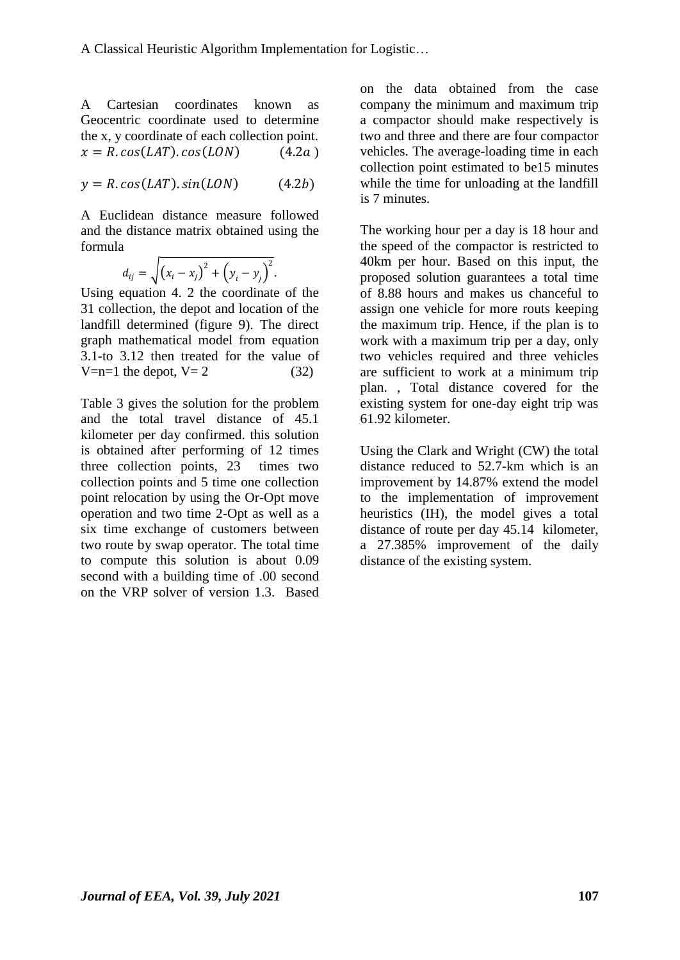A Cartesian coordinates known as Geocentric coordinate used to determine the x, y coordinate of each collection point.  $x = R \cdot cos(LAT) \cdot cos(LON)$  (4.2a)

$$
y = R \cdot \cos(LAT) \cdot \sin(LON) \tag{4.2b}
$$

A Euclidean distance measure followed and the distance matrix obtained using the formula

$$
d_{ij} = \sqrt{(x_i - x_j)^2 + (y_i - y_j)^2}.
$$

Using equation 4. 2 the coordinate of the 31 collection, the depot and location of the landfill determined (figure 9). The direct graph mathematical model from equation 3.1-to 3.12 then treated for the value of  $V=n=1$  the depot,  $V=2$  (32)

Table 3 gives the solution for the problem and the total travel distance of 45.1 kilometer per day confirmed. this solution is obtained after performing of 12 times three collection points, 23 times two collection points and 5 time one collection point relocation by using the Or-Opt move operation and two time 2-Opt as well as a six time exchange of customers between two route by swap operator. The total time to compute this solution is about 0.09 second with a building time of .00 second on the VRP solver of version 1.3. Based on the data obtained from the case company the minimum and maximum trip a compactor should make respectively is two and three and there are four compactor vehicles. The average-loading time in each collection point estimated to be15 minutes while the time for unloading at the landfill is 7 minutes.

The working hour per a day is 18 hour and the speed of the compactor is restricted to 40km per hour. Based on this input, the proposed solution guarantees a total time of 8.88 hours and makes us chanceful to assign one vehicle for more routs keeping the maximum trip. Hence, if the plan is to work with a maximum trip per a day, only two vehicles required and three vehicles are sufficient to work at a minimum trip plan. , Total distance covered for the existing system for one-day eight trip was 61.92 kilometer.

Using the Clark and Wright (CW) the total distance reduced to 52.7-km which is an improvement by 14.87% extend the model to the implementation of improvement heuristics (IH), the model gives a total distance of route per day 45.14 kilometer, a 27.385% improvement of the daily distance of the existing system.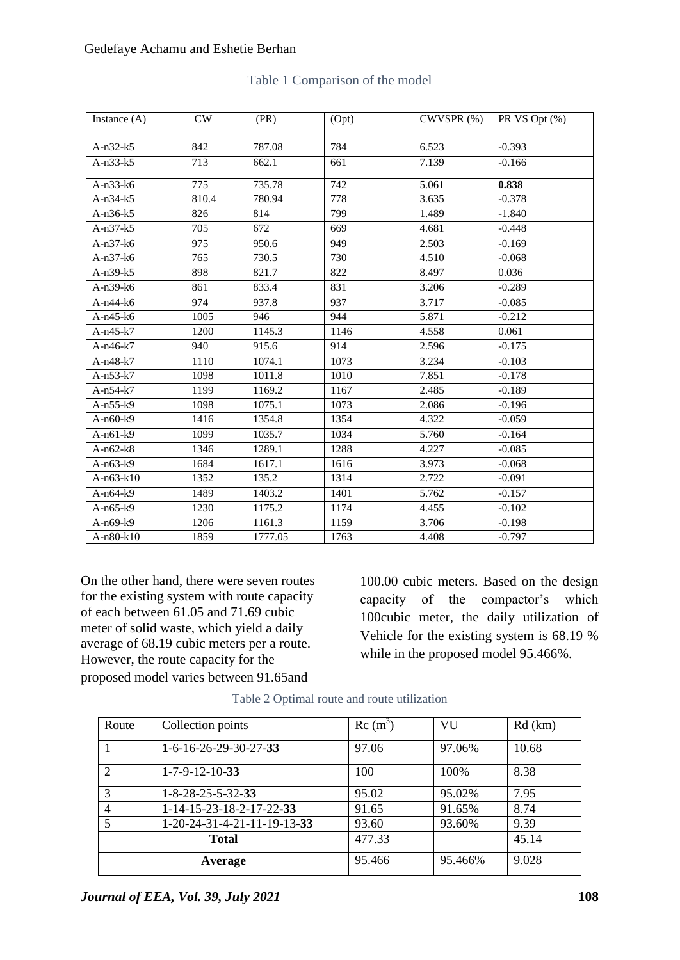### Gedefaye Achamu and Eshetie Berhan

| Instance $(A)$ | CW    | (PR)    | (Opt) | $CWVSPR$ $(\%)$ | PR VS Opt (%) |
|----------------|-------|---------|-------|-----------------|---------------|
|                |       |         |       |                 |               |
| $A-n32-k5$     | 842   | 787.08  | 784   | 6.523           | $-0.393$      |
| $A-n33-k5$     | 713   | 662.1   | 661   | 7.139           | $-0.166$      |
| $A-n33-k6$     | 775   | 735.78  | 742   | 5.061           | 0.838         |
| $A-n34-k5$     | 810.4 | 780.94  | 778   | 3.635           | $-0.378$      |
| $A-n36-k5$     | 826   | 814     | 799   | 1.489           | $-1.840$      |
| $A-n37-k5$     | 705   | 672     | 669   | 4.681           | $-0.448$      |
| $A-n37-k6$     | 975   | 950.6   | 949   | 2.503           | $-0.169$      |
| $A-n37-k6$     | 765   | 730.5   | 730   | 4.510           | $-0.068$      |
| $A-n39-k5$     | 898   | 821.7   | 822   | 8.497           | 0.036         |
| $A-n39-k6$     | 861   | 833.4   | 831   | 3.206           | $-0.289$      |
| $A-n44-k6$     | 974   | 937.8   | 937   | 3.717           | $-0.085$      |
| $A-n45-k6$     | 1005  | 946     | 944   | 5.871           | $-0.212$      |
| $A-n45-k7$     | 1200  | 1145.3  | 1146  | 4.558           | 0.061         |
| $A-n46-k7$     | 940   | 915.6   | 914   | 2.596           | $-0.175$      |
| $A-n48-k7$     | 1110  | 1074.1  | 1073  | 3.234           | $-0.103$      |
| $A-n53-k7$     | 1098  | 1011.8  | 1010  | 7.851           | $-0.178$      |
| $A-n54-k7$     | 1199  | 1169.2  | 1167  | 2.485           | $-0.189$      |
| $A-n55-k9$     | 1098  | 1075.1  | 1073  | 2.086           | $-0.196$      |
| $A-n60-k9$     | 1416  | 1354.8  | 1354  | 4.322           | $-0.059$      |
| $A-n61-k9$     | 1099  | 1035.7  | 1034  | 5.760           | $-0.164$      |
| $A-n62-k8$     | 1346  | 1289.1  | 1288  | 4.227           | $-0.085$      |
| $A-n63-k9$     | 1684  | 1617.1  | 1616  | 3.973           | $-0.068$      |
| A-n63-k10      | 1352  | 135.2   | 1314  | 2.722           | $-0.091$      |
| $A-n64-k9$     | 1489  | 1403.2  | 1401  | 5.762           | $-0.157$      |
| $A-n65-k9$     | 1230  | 1175.2  | 1174  | 4.455           | $-0.102$      |
| $A-n69-k9$     | 1206  | 1161.3  | 1159  | 3.706           | $-0.198$      |
| A-n80-k10      | 1859  | 1777.05 | 1763  | 4.408           | $-0.797$      |

## Table 1 Comparison of the model

On the other hand, there were seven routes for the existing system with route capacity of each between 61.05 and 71.69 cubic meter of solid waste, which yield a daily average of 68.19 cubic meters per a route. However, the route capacity for the proposed model varies between 91.65and

100.00 cubic meters. Based on the design capacity of the compactor's which 100cubic meter, the daily utilization of Vehicle for the existing system is 68.19 % while in the proposed model 95.466%.

| Route                       | Collection points               | $Rc(m^3)$ | <b>VU</b> | $Rd$ (km) |
|-----------------------------|---------------------------------|-----------|-----------|-----------|
|                             | $1-6-16-26-29-30-27-33$         | 97.06     | 97.06%    | 10.68     |
| $\mathcal{D}_{\mathcal{L}}$ | $1-7-9-12-10-33$                | 100       | 100%      | 8.38      |
| 3                           | $1 - 8 - 28 - 25 - 5 - 32 - 33$ | 95.02     | 95.02%    | 7.95      |
|                             | $1-14-15-23-18-2-17-22-33$      | 91.65     | 91.65%    | 8.74      |
|                             | $1-20-24-31-4-21-11-19-13-33$   | 93.60     | 93.60%    | 9.39      |
|                             | <b>Total</b>                    | 477.33    |           | 45.14     |
|                             | Average                         | 95.466    | 95.466%   | 9.028     |

Table 2 Optimal route and route utilization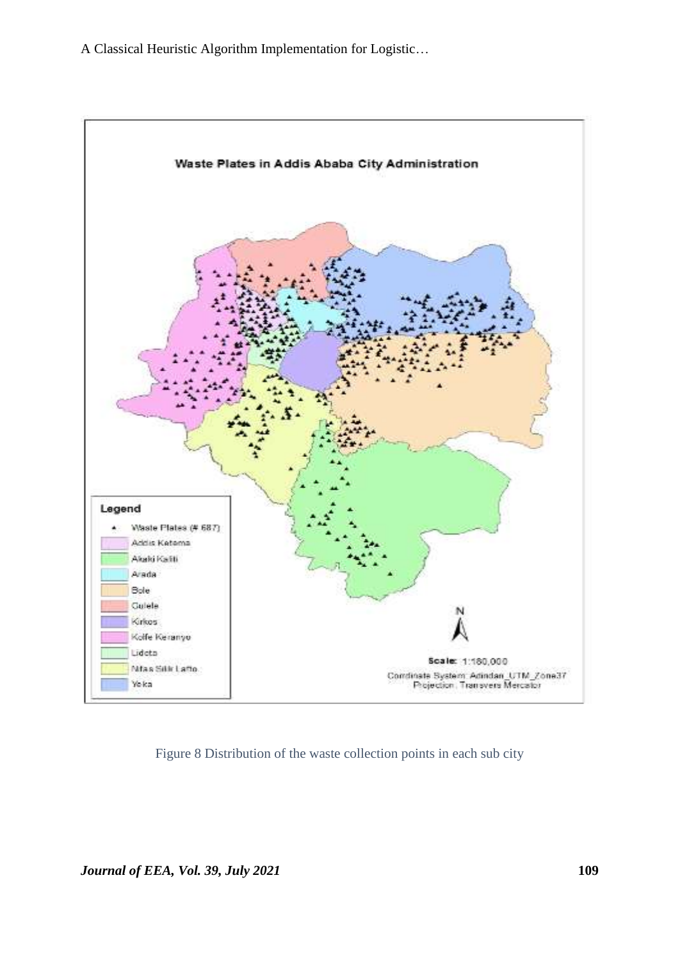A Classical Heuristic Algorithm Implementation for Logistic…



Figure 8 Distribution of the waste collection points in each sub city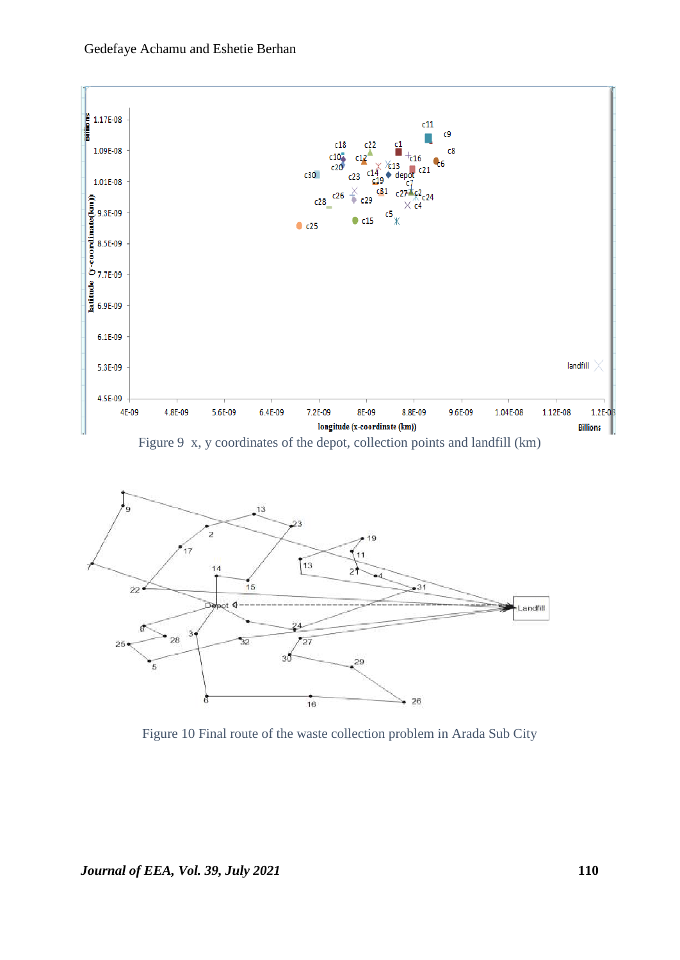







Figure 10 Final route of the waste collection problem in Arada Sub City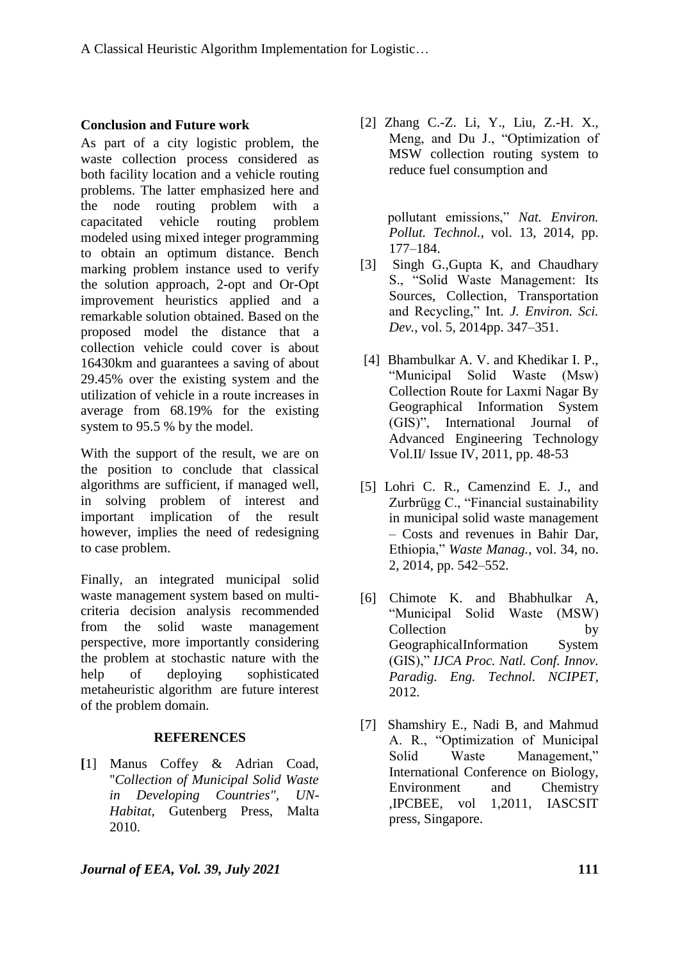## **Conclusion and Future work**

As part of a city logistic problem, the waste collection process considered as both facility location and a vehicle routing problems. The latter emphasized here and the node routing problem with a capacitated vehicle routing problem modeled using mixed integer programming to obtain an optimum distance. Bench marking problem instance used to verify the solution approach, 2-opt and Or-Opt improvement heuristics applied and a remarkable solution obtained. Based on the proposed model the distance that a collection vehicle could cover is about 16430km and guarantees a saving of about 29.45% over the existing system and the utilization of vehicle in a route increases in average from 68.19% for the existing system to 95.5 % by the model.

With the support of the result, we are on the position to conclude that classical algorithms are sufficient, if managed well, in solving problem of interest and important implication of the result however, implies the need of redesigning to case problem.

Finally, an integrated municipal solid waste management system based on multicriteria decision analysis recommended from the solid waste management perspective, more importantly considering the problem at stochastic nature with the help of deploying sophisticated metaheuristic algorithm are future interest of the problem domain.

## **REFERENCES**

**[**1] Manus Coffey & Adrian Coad, "*Collection of Municipal Solid Waste in Developing Countries", UN-Habitat*, Gutenberg Press, Malta 2010.

[2] Zhang C.-Z. Li, Y., Liu, Z.-H. X., Meng, and Du J., "Optimization of MSW collection routing system to reduce fuel consumption and

> pollutant emissions," *Nat. Environ. Pollut. Technol.*, vol. 13, 2014, pp. 177–184.

- [3] Singh G.,Gupta K, and Chaudhary S., "Solid Waste Management: Its Sources, Collection, Transportation and Recycling," Int*. J. Environ. Sci. Dev.*, vol. 5, 2014pp. 347–351.
- [4] Bhambulkar A. V. and Khedikar I. P., "Municipal Solid Waste (Msw) Collection Route for Laxmi Nagar By Geographical Information System (GIS)", International Journal of Advanced Engineering Technology Vol.II/ Issue IV, 2011, pp. 48-53
- [5] Lohri C. R., Camenzind E. J., and Zurbrügg C., "Financial sustainability in municipal solid waste management – Costs and revenues in Bahir Dar, Ethiopia," *Waste Manag.*, vol. 34, no. 2, 2014, pp. 542–552.
- [6] Chimote K. and Bhabhulkar A, "Municipal Solid Waste (MSW) Collection by GeographicalInformation System (GIS)," *IJCA Proc. Natl. Conf. Innov. Paradig. Eng. Technol. NCIPET,* 2012.
- [7] Shamshiry E., Nadi B, and Mahmud A. R., "Optimization of Municipal Solid Waste Management," International Conference on Biology, Environment and Chemistry ,IPCBEE, vol 1,2011, IASCSIT press, Singapore.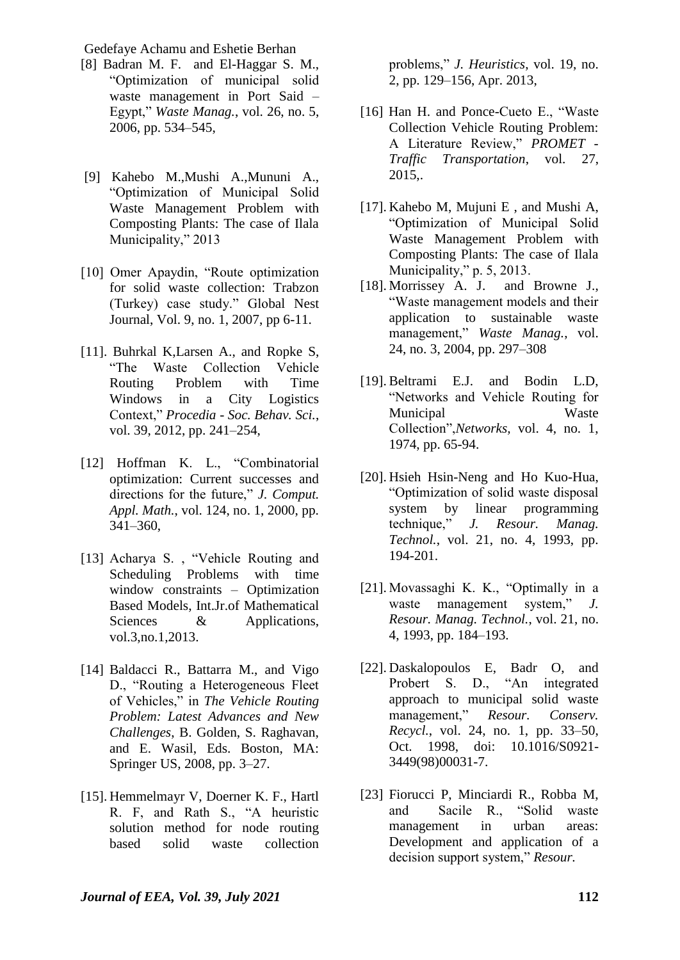Gedefaye Achamu and Eshetie Berhan

- [8] Badran M. F. and El-Haggar S. M., "Optimization of municipal solid waste management in Port Said – Egypt," *Waste Manag.*, vol. 26, no. 5, 2006, pp. 534–545,
- [9] Kahebo M.,Mushi A.,Mununi A., "Optimization of Municipal Solid Waste Management Problem with Composting Plants: The case of Ilala Municipality," 2013
- [10] Omer Apaydin, "Route optimization for solid waste collection: Trabzon (Turkey) case study." Global Nest Journal, Vol. 9, no. 1, 2007, pp 6-11.
- [11]. Buhrkal K,Larsen A., and Ropke S, "The Waste Collection Vehicle Routing Problem with Time Windows in a City Logistics Context," *Procedia - Soc. Behav. Sci.*, vol. 39, 2012, pp. 241–254,
- [12] Hoffman K. L., "Combinatorial optimization: Current successes and directions for the future," *J. Comput. Appl. Math.*, vol. 124, no. 1, 2000, pp. 341–360,
- [13] Acharya S., "Vehicle Routing and Scheduling Problems with time window constraints – Optimization Based Models, Int.Jr.of Mathematical Sciences & Applications, vol.3,no.1,2013.
- [14] Baldacci R., Battarra M., and Vigo D., "Routing a Heterogeneous Fleet of Vehicles," in *The Vehicle Routing Problem: Latest Advances and New Challenges*, B. Golden, S. Raghavan, and E. Wasil, Eds. Boston, MA: Springer US, 2008, pp. 3–27.
- [15]. Hemmelmayr V, Doerner K. F., Hartl R. F, and Rath S., "A heuristic solution method for node routing based solid waste collection

problems," *J. Heuristics*, vol. 19, no. 2, pp. 129–156, Apr. 2013,

- [16] Han H. and Ponce-Cueto E., "Waste Collection Vehicle Routing Problem: A Literature Review," *PROMET - Traffic Transportation*, vol. 27, 2015,.
- [17]. Kahebo M, Mujuni E , and Mushi A, "Optimization of Municipal Solid Waste Management Problem with Composting Plants: The case of Ilala Municipality," p. 5, 2013.
- [18]. Morrissey A. J. and Browne J., "Waste management models and their application to sustainable waste management," *Waste Manag.*, vol. 24, no. 3, 2004, pp. 297–308
- [19]. Beltrami E.J. and Bodin L.D, "Networks and Vehicle Routing for Municipal Waste Collection",*Networks,* vol. 4, no. 1, 1974, pp. 65-94.
- [20]. Hsieh Hsin-Neng and Ho Kuo-Hua, "Optimization of solid waste disposal system by linear programming technique," *J. Resour. Manag. Technol.*, vol. 21, no. 4, 1993, pp. 194-201.
- [21]. Movassaghi K. K., "Optimally in a waste management system," *J. Resour. Manag. Technol.*, vol. 21, no. 4, 1993, pp. 184–193.
- [22]. Daskalopoulos E, Badr O, and Probert S. D., "An integrated approach to municipal solid waste management," *Resour. Conserv. Recycl.*, vol. 24, no. 1, pp. 33–50, Oct. 1998, doi: 10.1016/S0921- 3449(98)00031-7.
- [23] Fiorucci P, Minciardi R., Robba M, and Sacile R., "Solid waste management in urban areas: Development and application of a decision support system," *Resour.*